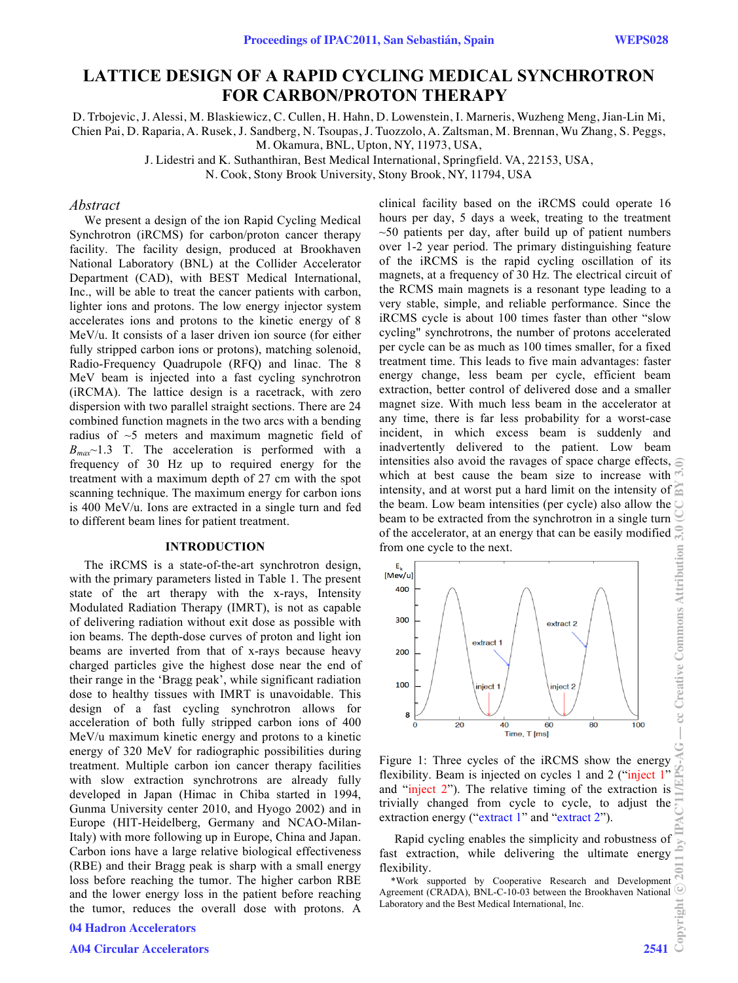# **LATTICE DESIGN OF A RAPID CYCLING MEDICAL SYNCHROTRON FOR CARBON/PROTON THERAPY**

D. Trbojevic, J. Alessi, M. Blaskiewicz, C. Cullen, H. Hahn, D. Lowenstein, I. Marneris, Wuzheng Meng, Jian-Lin Mi, Chien Pai, D. Raparia, A. Rusek, J. Sandberg, N. Tsoupas, J. Tuozzolo, A. Zaltsman, M. Brennan, Wu Zhang, S. Peggs, M. Okamura, BNL, Upton, NY, 11973, USA,

J. Lidestri and K. Suthanthiran, Best Medical International, Springfield. VA, 22153, USA,

N. Cook, Stony Brook University, Stony Brook, NY, 11794, USA

### *Abstract*

 We present a design of the ion Rapid Cycling Medical Synchrotron (iRCMS) for carbon/proton cancer therapy facility. The facility design, produced at Brookhaven National Laboratory (BNL) at the Collider Accelerator Department (CAD), with BEST Medical International, Inc., will be able to treat the cancer patients with carbon, lighter ions and protons. The low energy injector system accelerates ions and protons to the kinetic energy of 8 MeV/u. It consists of a laser driven ion source (for either fully stripped carbon ions or protons), matching solenoid, Radio-Frequency Quadrupole (RFQ) and linac. The 8 MeV beam is injected into a fast cycling synchrotron (iRCMA). The lattice design is a racetrack, with zero dispersion with two parallel straight sections. There are 24 combined function magnets in the two arcs with a bending radius of ~5 meters and maximum magnetic field of  $B_{max}$ ~1.3 T. The acceleration is performed with a frequency of 30 Hz up to required energy for the treatment with a maximum depth of 27 cm with the spot scanning technique. The maximum energy for carbon ions is 400 MeV/u. Ions are extracted in a single turn and fed to different beam lines for patient treatment.

#### **INTRODUCTION**

 The iRCMS is a state-of-the-art synchrotron design, with the primary parameters listed in Table 1. The present state of the art therapy with the x-rays, Intensity Modulated Radiation Therapy (IMRT), is not as capable of delivering radiation without exit dose as possible with ion beams. The depth-dose curves of proton and light ion beams are inverted from that of x-rays because heavy charged particles give the highest dose near the end of their range in the 'Bragg peak', while significant radiation dose to healthy tissues with IMRT is unavoidable. This design of a fast cycling synchrotron allows for acceleration of both fully stripped carbon ions of 400 MeV/u maximum kinetic energy and protons to a kinetic energy of 320 MeV for radiographic possibilities during treatment. Multiple carbon ion cancer therapy facilities with slow extraction synchrotrons are already fully developed in Japan (Himac in Chiba started in 1994, Gunma University center 2010, and Hyogo 2002) and in Europe (HIT-Heidelberg, Germany and NCAO-Milan-Italy) with more following up in Europe, China and Japan. Carbon ions have a large relative biological effectiveness (RBE) and their Bragg peak is sharp with a small energy loss before reaching the tumor. The higher carbon RBE and the lower energy loss in the patient before reaching the tumor, reduces the overall dose with protons. A

### 04 Hadron Accelerators

clinical facility based on the iRCMS could operate 16 hours per day, 5 days a week, treating to the treatment  $\sim$ 50 patients per day, after build up of patient numbers over 1-2 year period. The primary distinguishing feature of the iRCMS is the rapid cycling oscillation of its magnets, at a frequency of 30 Hz. The electrical circuit of the RCMS main magnets is a resonant type leading to a very stable, simple, and reliable performance. Since the iRCMS cycle is about 100 times faster than other "slow cycling" synchrotrons, the number of protons accelerated per cycle can be as much as 100 times smaller, for a fixed treatment time. This leads to five main advantages: faster energy change, less beam per cycle, efficient beam extraction, better control of delivered dose and a smaller magnet size. With much less beam in the accelerator at any time, there is far less probability for a worst-case incident, in which excess beam is suddenly and inadvertently delivered to the patient. Low beam intensities also avoid the ravages of space charge effects,  $\epsilon$ Copyright © 2011 by IPAC'11/EPS-AG — cc Creative Commons Attribution 3.0 (CC BY 3.0) which at best cause the beam size to increase with intensity, and at worst put a hard limit on the intensity of the beam. Low beam intensities (per cycle) also allow the beam to be extracted from the synchrotron in a single turn  $\bigcirc$  of the accelerator, at an energy that can be easily modified of the accelerator, at an energy that can be easily modified from one cycle to the next. cc Creative Commons Attribution



Figure 1: Three cycles of the iRCMS show the energy flexibility. Beam is injected on cycles 1 and 2 ("inject 1" and "inject 2"). The relative timing of the extraction is trivially changed from cycle to cycle, to adjust the extraction energy ("extract 1" and "extract 2").

Rapid cycling enables the simplicity and robustness of fast extraction, while delivering the ultimate energy flexibility.

\*Work supported by Cooperative Research and Development Agreement (CRADA), BNL-C-10-03 between the Brookhaven National Laboratory and the Best Medical International, Inc.

 $\odot$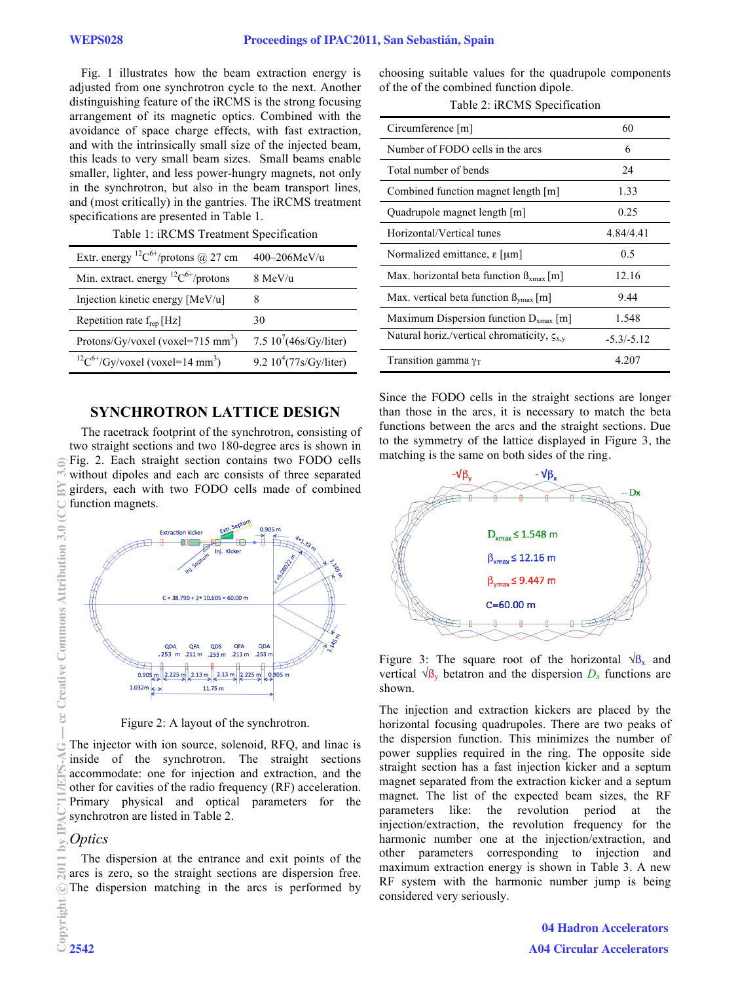Fig. 1 illustrates how the beam extraction energy is adjusted from one synchrotron cycle to the next. Another distinguishing feature of the iRCMS is the strong focusing arrangement of its magnetic optics. Combined with the avoidance of space charge effects, with fast extraction, and with the intrinsically small size of the injected beam, this leads to very small beam sizes. Small beams enable smaller, lighter, and less power-hungry magnets, not only in the synchrotron, but also in the beam transport lines, and (most critically) in the gantries. The iRCMS treatment specifications are presented in Table 1.

| Table 1: iRCMS Treatment Specification |  |  |
|----------------------------------------|--|--|
|----------------------------------------|--|--|

| Extr. energy <sup>12</sup> C <sup>6+</sup> /protons @ 27 cm | $400 - 206$ MeV/u           |  |
|-------------------------------------------------------------|-----------------------------|--|
| Min. extract. energy ${}^{12}C^{6+}/$ protons               | 8 MeV/u                     |  |
| Injection kinetic energy [MeV/u]                            |                             |  |
| Repetition rate $f_{rep}$ [Hz]                              | 30                          |  |
| Protons/Gy/voxel (voxel=715 mm <sup>3</sup> )               | 7.5 $10^{7}$ (46s/Gy/liter) |  |
| ${}^{12}C^{6+}/Gy/voxel$ (voxel=14 mm <sup>3</sup> )        | 9.2 $10^4$ (77s/Gy/liter)   |  |

# **SYNCHROTRON LATTICE DESIGN**

The racetrack footprint of the synchrotron, consisting of two straight sections and two 180-degree arcs is shown in Fig. 2. Each straight section contains two FODO cells without dipoles and each arc consists of three separated girders, each with two FODO cells made of combined function magnets.



Figure 2: A layout of the synchrotron.

The injector with ion source, solenoid, RFQ, and linac is inside of the synchrotron. The straight sections accommodate: one for injection and extraction, and the other for cavities of the radio frequency (RF) acceleration. Primary physical and optical parameters for the synchrotron are listed in Table 2.

# *Optics*

The dispersion at the entrance and exit points of the arcs is zero, so the straight sections are dispersion free. The dispersion matching in the arcs is performed by choosing suitable values for the quadrupole components of the of the combined function dipole.

Table 2: iRCMS Specification

| Circumference [m]                                    | 60           |
|------------------------------------------------------|--------------|
| Number of FODO cells in the arcs                     | 6            |
| Total number of bends                                | 24           |
| Combined function magnet length [m]                  | 1.33         |
| Quadrupole magnet length [m]                         | 0.25         |
| Horizontal/Vertical tunes                            | 4.84/4.41    |
| Normalized emittance, $\epsilon$ [ $\mu$ m]          | 0.5          |
| Max. horizontal beta function $\beta_{\rm xmax}$ [m] | 12.16        |
| Max. vertical beta function $B_{\text{ymax}}[m]$     | 9.44         |
| Maximum Dispersion function $D_{xmax}$ [m]           | 1.548        |
| Natural horiz./vertical chromaticity, $\zeta_{x,y}$  | $-5.3/-5.12$ |
| Transition gamma $\gamma_T$                          | 4 207        |

Since the FODO cells in the straight sections are longer than those in the arcs, it is necessary to match the beta functions between the arcs and the straight sections. Due to the symmetry of the lattice displayed in Figure 3, the matching is the same on both sides of the ring.



Figure 3: The square root of the horizontal  $\sqrt{\mathcal{B}_x}$  and vertical  $\sqrt{\mathbf{B}_v}$  betatron and the dispersion  $D_x$  functions are shown.

The injection and extraction kickers are placed by the horizontal focusing quadrupoles. There are two peaks of the dispersion function. This minimizes the number of power supplies required in the ring. The opposite side straight section has a fast injection kicker and a septum magnet separated from the extraction kicker and a septum magnet. The list of the expected beam sizes, the RF parameters like: the revolution period at the injection/extraction, the revolution frequency for the harmonic number one at the injection/extraction, and other parameters corresponding to injection and maximum extraction energy is shown in Table 3. A new RF system with the harmonic number jump is being considered very seriously.

> 04 Hadron Accelerators A04 Circular Accelerators